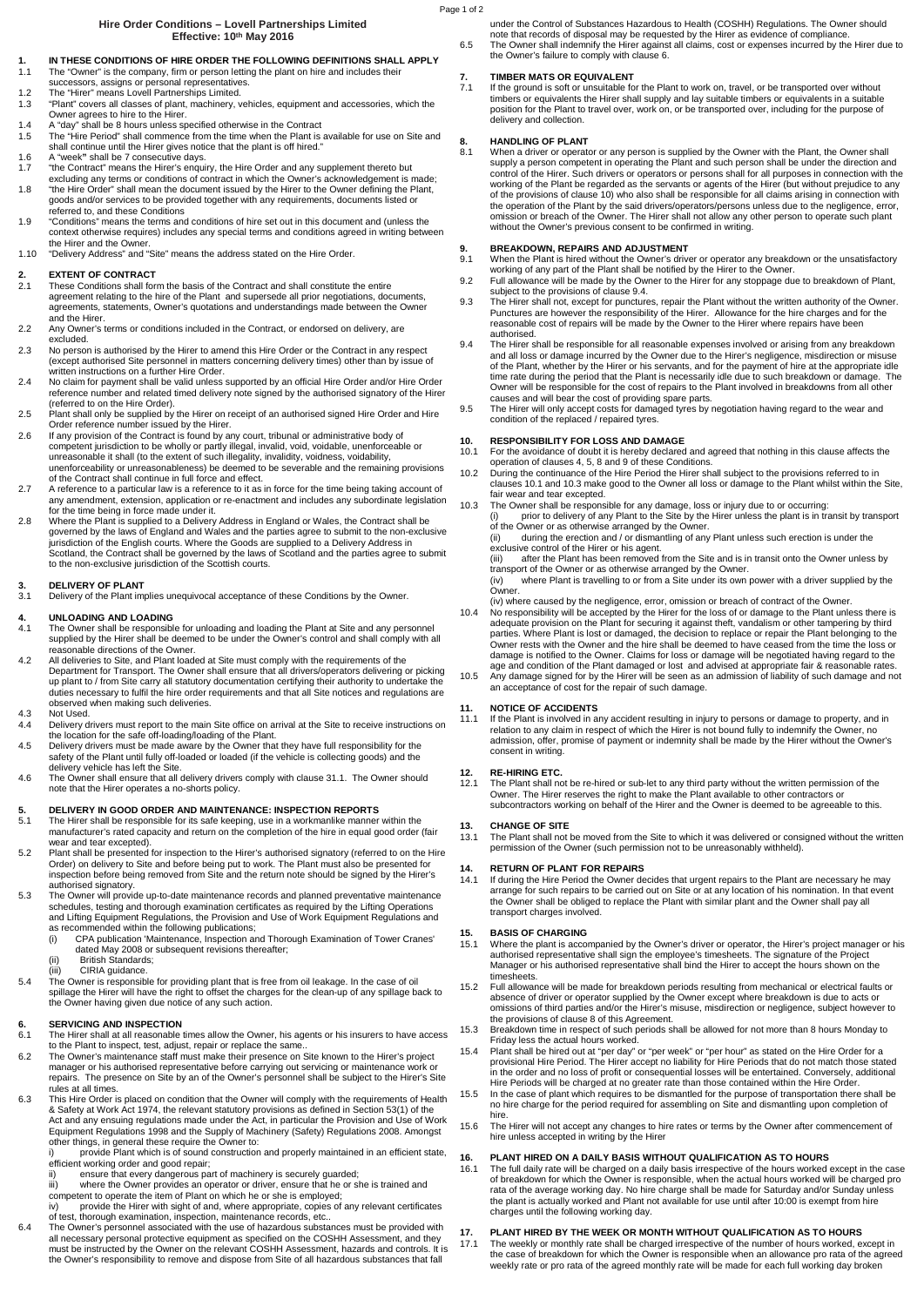#### **Hire Order Conditions – Lovell Partnerships Limited Effective: 10th May 2016**

# **1. IN THESE CONDITIONS OF HIRE ORDER THE FOLLOWING DEFINITIONS SHALL APPLY**

- 1.1 The "Owner" is the company, firm or person letting the plant on hire and includes their successors, assigns or personal representatives.
- 1.2 The "Hirer" means Lovell Partnerships Limited.<br>1.3 "Plant" covers all classes of plant, machinery.
- 1.3 "Plant" covers all classes of plant, machinery, vehicles, equipment and accessories, which the Owner agrees to hire to the Hirer.
- 
- 1.4 A "day" shall be 8 hours unless specified otherwise in the Contract 1.5 The "Hire Period" shall commence from the time when the Plant is available for use on Site and shall continue until the Hirer gives notice that the plant is off hired." 1.6 A "week**"** shall be 7 consecutive days.
- 
- 1.7 "the Contract" means the Hirer's enquiry, the Hire Order and any supplement thereto but excluding any terms or conditions of contract in which the Owner's acknowledgement is made;
- 1.8 "the Hire Order" shall mean the document issued by the Hirer to the Owner defining the Plant, goods and/or services to be provided together with any requirements, documents listed or referred to, and these Conditions
- 1.9 "Conditions" means the terms and conditions of hire set out in this document and (unless the context otherwise requires) includes any special terms and conditions agreed in writing between
- the Hirer and the Owner. 1.10 "Delivery Address" and "Site" means the address stated on the Hire Order.

### **2. EXTENT OF CONTRACT**<br>2.1 These Conditions shall for

- 2.1 These Conditions shall form the basis of the Contract and shall constitute the entire agreement relating to the hire of the Plant and supersede all prior negotiations, documents, agreements, statements, Owner's quotations and understandings made between the Owner and the Hirer.
- 2.2 Any Owner's terms or conditions included in the Contract, or endorsed on delivery, are excluded.
- 2.3 No person is authorised by the Hirer to amend this Hire Order or the Contract in any respect (except authorised Site personnel in matters concerning delivery times) other than by issue of written instructions on a further Hire Order.
- 2.4 No claim for payment shall be valid unless supported by an official Hire Order and/or Hire Order reference number and related timed delivery note signed by the authorised signatory of the Hirer (referred to on the Hire Order). 2.5 Plant shall only be supplied by the Hirer on receipt of an authorised signed Hire Order and Hire
- Order reference number issued by the Hirer. 2.6 If any provision of the Contract is found by any court, tribunal or administrative body of
- competent jurisdiction to be wholly or partly illegal, invalid, void, voidable, unenforceable or<br>unreasonable it shall (to the extent of such illegality, invalidity, voidness, voidability,<br>unenforceability or unreasonablen of the Contract shall continue in full force and effect.
- 2.7 A reference to a particular law is a reference to it as in force for the time being taking account of any amendment, extension, application or re-enactment and includes any subordinate legislation for the time being in force made under it.
- 2.8 Where the Plant is supplied to a Delivery Address in England or Wales, the Contract shall be governed by the laws of England and Wales and the parties agree to submit to the non-exclusive jurisdiction of the English courts. Where the Goods are supplied to a Delivery Address in Scotland, the Contract shall be governed by the laws of Scotland and the parties agree to submit to the non-exclusive jurisdiction of the Scottish courts.

# **3. DELIVERY OF PLANT**<br>**3.1** Delivery of the Plant im

Delivery of the Plant implies unequivocal acceptance of these Conditions by the Owner.

# **4. UNLOADING AND LOADING**

- 4.1 The Owner shall be responsible for unloading and loading the Plant at Site and any personnel supplied by the Hirer shall be deemed to be under the Owner's control and shall comply with all reasonable directions of the Owner.
- 4.2 All deliveries to Site, and Plant loaded at Site must comply with the requirements of the Department for Transport. The Owner shall ensure that all drivers/operators delivering or picking up plant to / from Site carry all statutory documentation certifying their authority to undertake the duties necessary to fulfil the hire order requirements and that all Site notices and regulations are observed when making such deliveries.

# 4.3 Not Used<br>4.4 Delivery

- Not beca.<br>Delivery drivers must report to the main Site office on arrival at the Site to receive instructions on the location for the safe off-loading/loading of the Plant. 4.5 Delivery drivers must be made aware by the Owner that they have full responsibility for the
- safety of the Plant until fully off-loaded or loaded (if the vehicle is collecting goods) and the delivery vehicle has left the Site.
- 4.6 The Owner shall ensure that all delivery drivers comply with clause 31.1. The Owner should note that the Hirer operates a no-shorts policy.

# **5. DELIVERY IN GOOD ORDER AND MAINTENANCE: INSPECTION REPORTS**<br>5.1 The Hirer shall be responsible for its safe keeping. use in a workmanlike manner

- 5.1 The Hirer shall be responsible for its safe keeping, use in a workmanlike manner within the manufacturer's rated capacity and return on the completion of the hire in equal good order (fair wear and tear excepted). 5.2 Plant shall be presented for inspection to the Hirer's authorised signatory (referred to on the Hire
- Order) on delivery to Site and before being put to work. The Plant must also be presented for inspection before being removed from Site and the return note should be signed by the Hirer's authorised signatory.
- 5.3 The Owner will provide up-to-date maintenance records and planned preventative maintenance schedules, testing and thorough examination certificates as required by the Lifting Operations<br>and Lifting Equipment Regulations, the Provision and Use of Work Equipment Regulations and<br>as recommended within the following
	-
	- (ii) British Standards;
	- (iii) CIRIA guidance.
- 5.4 The Owner is responsible for providing plant that is free from oil leakage. In the case of oil spillage the Hirer will have the right to offset the charges for the clean-up of any spillage back to the Owner having given due notice of any such action.

### **6. SERVICING AND INSPECTION**<br>**6.1** The Hirer shall at all reasonable

- 6.1 The Hirer shall at all reasonable times allow the Owner, his agents or his insurers to have access to the Plant to inspect, test, adjust, repair or replace the same..
- 6.2 The Owner's maintenance staff must make their presence on Site known to the Hirer's project<br>manager or his authorised representative before carrying out servicing or maintenance work or<br>repairs. The presence on Site by rules at all times.
- 6.3 This Hire Order is placed on condition that the Owner will comply with the requirements of Health & Safety at Work Act 1974, the relevant statutory provisions as defined in Section 53(1) of the Act and any ensuing regu

- ensure that every dangerous part of machinery is securely guarded;
- 
- iii) where the Owner provides an operator or driver, ensure that he or she is trained and<br>competent to operate the item of Plant on which he or she is employed;<br>iv) provide the Hirer with sight of and, where appropriate, c
- all necessary personal protective equipment as specified on the COSHH Assessment, and they<br>must be instructed by the Owner on the relevant COSHH Assessment, hazards and controls. It is<br>the Owner's responsibility to remove

under the Control of Substances Hazardous to Health (COSHH) Regulations. The Owner should note that records of disposal may be requested by the Hirer as evidence of compliance. 6.5 The Owner shall indemnify the Hirer against all claims, cost or expenses incurred by the Hirer due to the Owner's failure to comply with clause 6.

# **7.** TIMBER MATS OR EQUIVALENT<br>7.1 If the ground is soft or unsuitable for

7.1 If the ground is soft or unsuitable for the Plant to work on, travel, or be transported over without timbers or equivalents the Hirer shall supply and lay suitable timbers or equivalents in a suitable position for the Plant to travel over, work on, or be transported over, including for the purpose of delivery and collection.

supply a person competent in operating the Plant and such person shall be under the direction and<br>control of the Hirer. Such drivers or operators or persons shall for all purposes in connection with the<br>working of the Plan of the provisions of clause 10) who also shall be responsible for all claims arising in connection with the operation of the Plant by the said drivers/operators/persons unless due to the negligence, error,<br>omission or breach of the Owner. The Hirer shall not allow any other person to operate such plant<br>without the Owner's p

# **9. BREAKDOWN, REPAIRS AND ADJUSTMENT**<br>9.1 When the Plant is hired without the Owner's drive

- 9.1 When the Plant is hired without the Owner's driver or operator any breakdown or the unsatisfactory<br>working of any part of the Plant shall be notified by the Hirer to the Owner.<br>9.2 Full allowance will be made by the Ow
- 9.3 The Hirer shall not, except for punctures, repair the Plant without the written authority of the Owner.<br>Punctures are however the responsibility of the Hirer. Allowance for the hire charges and for the<br>reasonable cost authorised.
- 9.4 The Hirer shall be responsible for all reasonable expenses involved or arising from any breakdown and all loss or damage incurred by the Owner due to the Hirer's negligence, misdirection or misuse of the Plant, whether by the Hirer or his servants, and for the payment of hire at the appropriate idle time rate during the period that the Plant is necessarily idle due to such breakdown or damage. The Owner will be responsible for the cost of repairs to the Plant involved in breakdowns from all other causes and will bear the cost of providing spare parts.
- 9.5 The Hirer will only accept costs for damaged tyres by negotiation having regard to the wear and condition of the replaced / repaired tyres.

# **10. RESPONSIBILITY FOR LOSS AND DAMAGE**<br>10.1 For the avoidance of doubt it is bereby declared

- 10.1 For the avoidance of doubt it is hereby declared and agreed that nothing in this clause affects the operation of clauses 4, 5, 8 and 9 of these Conditions.
- 10.2 During the continuance of the Hire Period the Hirer shall subject to the provisions referred to in clauses 10.1 and 10.3 make good to the Owner all loss or damage to the Plant whilst within the Site, fair wear and tear excepted.
- 10.3 The Owner shall be responsible for any damage, loss or injury due to or occurring:
	- (i) prior to delivery of any Plant to the Site by the Hirer unless the plant is in transit by transport of the Owner or as otherwise arranged by the Owner. (ii) during the erection and / or dismantling of any Plant unless such erection is under the

exclusive control of the Hirer or his agent. (iii) after the Plant has been removed from the Site and is in transit onto the Owner unless by

transport of the Owner or as otherwise arranged by the Owner. (iv) where Plant is travelling to or from a Site under its own power with a driver supplied by the

Owner.

- (iv) where caused by the negligence, error, omission or breach of contract of the Owner.
- 10.4 No responsibility will be accepted by the Hirer for the loss of or damage to the Plant unless there is adequate provision on the Plant for securing it against theft, vandalism or other tampering by third parties. Wher damage is notified to the Owner. Claims for loss or damage will be negotiated having regard to the age and condition of the Plant damaged or lost and advised at appropriate fair & reasonable rates. 10.5 Any damage signed for by the Hirer will be seen as an admission of liability of such damage and not an acceptance of cost for the repair of such damage.

### **11. NOTICE OF ACCIDENTS**<br>11.1 If the Plant is involved in a

11.1 If the Plant is involved in any accident resulting in injury to persons or damage to property, and in relation to any claim in respect of which the Hirer is not bound fully to indemnify the Owner, no admission, offer, promise of payment or indemnity shall be made by the Hirer without the Owner's consent in writing.

# **12. RE-HIRING ETC.**

The Plant shall not be re-hired or sub-let to any third party without the written permission of the Owner. The Hirer reserves the right to make the Plant available to other contractors or subcontractors working on behalf of the Hirer and the Owner is deemed to be agreeable to this.

# **13. CHANGE OF SITE**

The Plant shall not be moved from the Site to which it was delivered or consigned without the written permission of the Owner (such permission not to be unreasonably withheld).

### **14. RETURN OF PLANT FOR REPAIRS**

14.1 If during the Hire Period the Owner decides that urgent repairs to the Plant are necessary he may arrange for such repairs to be carried out on Site or at any location of his nomination. In that event the Owner shall be obliged to replace the Plant with similar plant and the Owner shall pay all transport charges involved.

# **15. BASIS OF CHARGING**<br>15.1 Where the plant is accord

- 15.1 Where the plant is accompanied by the Owner's driver or operator, the Hirer's project manager or his authorised representative shall sign the employee's timesheets. The signature of the Project Manager or his authorised representative shall bind the Hirer to accept the hours shown on the timesheets.
- 15.2 Full allowance will be made for breakdown periods resulting from mechanical or electrical faults or absence of driver or operator supplied by the Owner except where breakdown is due to acts or omissions of third parties and/or the Hirer's misuse, misdirection or negligence, subject however to the provisions of clause 8 of this Agreement.
- 15.3 Breakdown time in respect of such periods shall be allowed for not more than 8 hours Monday to Friday less the actual hours worked.
- 15.4 Plant shall be hired out at "per day" or "per week" or "per hour" as stated on the Hire Order for a provisional Hire Period. The Hirer accept no liability for Hire Periods that do not match those stated in the order and no loss of profit or consequential losses will be entertained. Conversely, additional Hire Periods will be charged at no greater rate than those contained within the Hire Order.
- 15.5 In the case of plant which requires to be dismantled for the purpose of transportation there shall be no hire charge for the period required for assembling on Site and dismantling upon completion of hire.
- 15.6 The Hirer will not accept any changes to hire rates or terms by the Owner after commencement of hire unless accepted in writing by the Hirer

#### **16. PLANT HIRED ON A DAILY BASIS WITHOUT QUALIFICATION AS TO HOURS**<br>16.1 The full daily rate will be charged on a daily basis irrespective of the bours worked

16.1 The full daily rate will be charged on a daily basis irrespective of the hours worked except in the case of breakdown for which the Owner is responsible, when the actual hours worked will be charged pro rata of the average working day. No hire charge shall be made for Saturday and/or Sunday unless the plant is actually worked and Plant not available for use until after 10:00 is exempt from hire charges until the following working day.

# **17. PLANT HIRED BY THE WEEK OR MONTH WITHOUT QUALIFICATION AS TO HOURS**<br>17.1 The weekly or monthly rate shall be charged irrespective of the number of hours worked, e

17.1 The weekly or monthly rate shall be charged irrespective of the number of hours worked, except in the case of breakdown for which the Owner is responsible when an allowance pro rata of the agreed weekly rate or pro rata of the agreed monthly rate will be made for each full working day broken

**8. HANDLING OF PLANT**<br>8.1 When a driver or operate When a driver or operator or any person is supplied by the Owner with the Plant, the Owner shall

Page 1 of 2